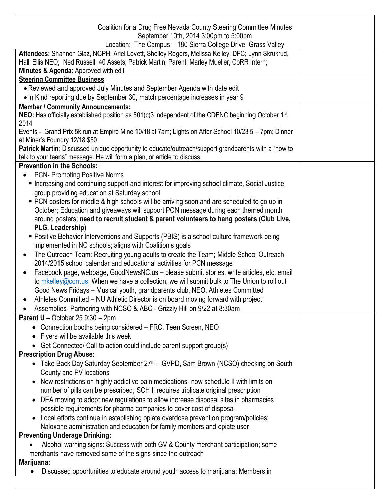| Coalition for a Drug Free Nevada County Steering Committee Minutes                                                                                                                                                                        |  |
|-------------------------------------------------------------------------------------------------------------------------------------------------------------------------------------------------------------------------------------------|--|
| September 10th, 2014 3:00pm to 5:00pm                                                                                                                                                                                                     |  |
| Location: The Campus - 180 Sierra College Drive, Grass Valley                                                                                                                                                                             |  |
| Attendees: Shannon Glaz, NCPH; Ariel Lovett, Shelley Rogers, Melissa Kelley, DFC; Lynn Skrukrud,<br>Halli Ellis NEO; Ned Russell, 40 Assets; Patrick Martin, Parent; Marley Mueller, CoRR Intern;<br>Minutes & Agenda: Approved with edit |  |
| <b>Steering Committee Business</b>                                                                                                                                                                                                        |  |
| • Reviewed and approved July Minutes and September Agenda with date edit                                                                                                                                                                  |  |
| • In Kind reporting due by September 30, match percentage increases in year 9                                                                                                                                                             |  |
| <b>Member / Community Announcements:</b>                                                                                                                                                                                                  |  |
| <b>NEO:</b> Has officially established position as $501(c)3$ independent of the CDFNC beginning October 1 <sup>st</sup> ,                                                                                                                 |  |
| 2014                                                                                                                                                                                                                                      |  |
| Events - Grand Prix 5k run at Empire Mine 10/18 at 7am; Lights on After School 10/23 5 – 7pm; Dinner                                                                                                                                      |  |
| at Miner's Foundry 12/18 \$50                                                                                                                                                                                                             |  |
| Patrick Martin: Discussed unique opportunity to educate/outreach/support grandparents with a "how to                                                                                                                                      |  |
| talk to your teens" message. He will form a plan, or article to discuss.                                                                                                                                                                  |  |
| <b>Prevention in the Schools:</b>                                                                                                                                                                                                         |  |
| <b>PCN-Promoting Positive Norms</b>                                                                                                                                                                                                       |  |
| Increasing and continuing support and interest for improving school climate, Social Justice                                                                                                                                               |  |
| group providing education at Saturday school                                                                                                                                                                                              |  |
| • PCN posters for middle & high schools will be arriving soon and are scheduled to go up in                                                                                                                                               |  |
| October; Education and giveaways will support PCN message during each themed month                                                                                                                                                        |  |
| around posters; need to recruit student & parent volunteers to hang posters (Club Live,                                                                                                                                                   |  |
| PLG, Leadership)                                                                                                                                                                                                                          |  |
| • Positive Behavior Interventions and Supports (PBIS) is a school culture framework being                                                                                                                                                 |  |
| implemented in NC schools; aligns with Coalition's goals                                                                                                                                                                                  |  |
| The Outreach Team: Recruiting young adults to create the Team; Middle School Outreach<br>$\bullet$<br>2014/2015 school calendar and educational activities for PCN message                                                                |  |
| Facebook page, webpage, GoodNewsNC us - please submit stories, write articles, etc. email<br>$\bullet$                                                                                                                                    |  |
| to $m$ kelley@corr.us. When we have a collection, we will submit bulk to The Union to roll out                                                                                                                                            |  |
| Good News Fridays - Musical youth, grandparents club, NEO, Athletes Committed                                                                                                                                                             |  |
| Athletes Committed - NU Athletic Director is on board moving forward with project                                                                                                                                                         |  |
| Assemblies- Partnering with NCSO & ABC - Grizzly Hill on 9/22 at 8:30am                                                                                                                                                                   |  |
| <b>Parent U - October 25 9:30 - 2pm</b>                                                                                                                                                                                                   |  |
| • Connection booths being considered - FRC, Teen Screen, NEO                                                                                                                                                                              |  |
| Flyers will be available this week                                                                                                                                                                                                        |  |
| • Get Connected/ Call to action could include parent support group(s)                                                                                                                                                                     |  |
| <b>Prescription Drug Abuse:</b>                                                                                                                                                                                                           |  |
| • Take Back Day Saturday September 27 <sup>th</sup> – GVPD, Sam Brown (NCSO) checking on South<br>County and PV locations                                                                                                                 |  |
| New restrictions on highly addictive pain medications- now schedule II with limits on                                                                                                                                                     |  |
| number of pills can be prescribed, SCH II requires triplicate original prescription                                                                                                                                                       |  |
| DEA moving to adopt new regulations to allow increase disposal sites in pharmacies;<br>$\bullet$                                                                                                                                          |  |
| possible requirements for pharma companies to cover cost of disposal                                                                                                                                                                      |  |
| Local efforts continue in establishing opiate overdose prevention program/policies;                                                                                                                                                       |  |
| Naloxone administration and education for family members and opiate user                                                                                                                                                                  |  |
| <b>Preventing Underage Drinking:</b>                                                                                                                                                                                                      |  |
| Alcohol warning signs: Success with both GV & County merchant participation; some                                                                                                                                                         |  |
| merchants have removed some of the signs since the outreach                                                                                                                                                                               |  |
| Marijuana:                                                                                                                                                                                                                                |  |
| Discussed opportunities to educate around youth access to marijuana; Members in                                                                                                                                                           |  |
|                                                                                                                                                                                                                                           |  |